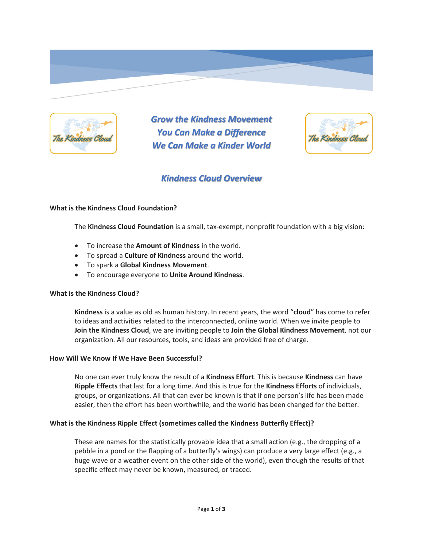

*Grow the Kindness Movement You Can Make a Difference We Can Make a Kinder World*



# *Kindness Cloud Overview*

#### **What is the Kindness Cloud Foundation?**

The **Kindness Cloud Foundation** is a small, tax-exempt, nonprofit foundation with a big vision:

- To increase the **Amount of Kindness** in the world.
- To spread a **Culture of Kindness** around the world.
- To spark a **Global Kindness Movement**.
- To encourage everyone to **Unite Around Kindness**.

#### **What is the Kindness Cloud?**

**Kindness** is a value as old as human history. In recent years, the word "**cloud**" has come to refer to ideas and activities related to the interconnected, online world. When we invite people to **Join the Kindness Cloud**, we are inviting people to **Join the Global Kindness Movement**, not our organization. All our resources, tools, and ideas are provided free of charge.

#### **How Will We Know If We Have Been Successful?**

No one can ever truly know the result of a **Kindness Effort**. This is because **Kindness** can have **Ripple Effects** that last for a long time. And this is true for the **Kindness Efforts** of individuals, groups, or organizations. All that can ever be known is that if one person's life has been made easier, then the effort has been worthwhile, and the world has been changed for the better.

## **What is the Kindness Ripple Effect (sometimes called the Kindness Butterfly Effect)?**

These are names for the statistically provable idea that a small action (e.g., the dropping of a pebble in a pond or the flapping of a butterfly's wings) can produce a very large effect (e.g., a huge wave or a weather event on the other side of the world), even though the results of that specific effect may never be known, measured, or traced.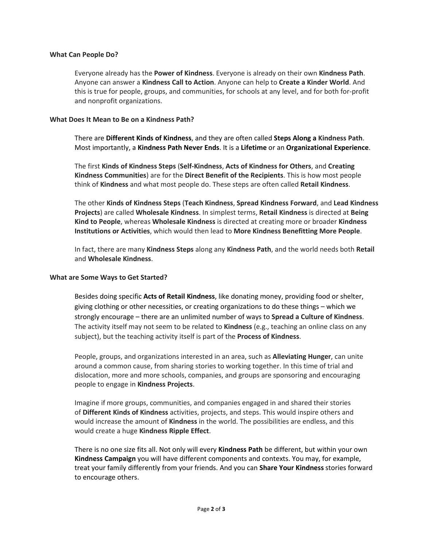#### **What Can People Do?**

Everyone already has the **Power of Kindness**. Everyone is already on their own **Kindness Path**. Anyone can answer a **Kindness Call to Action**. Anyone can help to **Create a Kinder World**. And this is true for people, groups, and communities, for schools at any level, and for both for-profit and nonprofit organizations.

#### **What Does It Mean to Be on a Kindness Path?**

There are **Different Kinds of Kindness**, and they are often called **Steps Along a Kindness Path**. Most importantly, a **Kindness Path Never Ends**. It is a **Lifetime** or an **Organizational Experience**.

The first **Kinds of Kindness Steps** (**Self-Kindness**, **Acts of Kindness for Others**, and **Creating Kindness Communities**) are for the **Direct Benefit of the Recipients**. This is how most people think of **Kindness** and what most people do. These steps are often called **Retail Kindness**.

The other **Kinds of Kindness Steps** (**Teach Kindness**, **Spread Kindness Forward**, and **Lead Kindness Projects**) are called **Wholesale Kindness**. In simplest terms, **Retail Kindness** is directed at **Being Kind to People**, whereas **Wholesale Kindness** is directed at creating more or broader **Kindness Institutions or Activities**, which would then lead to **More Kindness Benefitting More People**.

In fact, there are many **Kindness Steps** along any **Kindness Path**, and the world needs both **Retail**  and **Wholesale Kindness**.

#### **What are Some Ways to Get Started?**

Besides doing specific **Acts of Retail Kindness**, like donating money, providing food or shelter, giving clothing or other necessities, or creating organizations to do these things – which we strongly encourage – there are an unlimited number of ways to **Spread a Culture of Kindness**. The activity itself may not seem to be related to **Kindness** (e.g., teaching an online class on any subject), but the teaching activity itself is part of the **Process of Kindness**.

People, groups, and organizations interested in an area, such as **Alleviating Hunger**, can unite around a common cause, from sharing stories to working together. In this time of trial and dislocation, more and more schools, companies, and groups are sponsoring and encouraging people to engage in **Kindness Projects**.

Imagine if more groups, communities, and companies engaged in and shared their stories of **Different Kinds of Kindness** activities, projects, and steps. This would inspire others and would increase the amount of **Kindness** in the world. The possibilities are endless, and this would create a huge **Kindness Ripple Effect**.

There is no one size fits all. Not only will every **Kindness Path** be different, but within your own **Kindness Campaign** you will have different components and contexts. You may, for example, treat your family differently from your friends. And you can **Share Your Kindness** stories forward to encourage others.